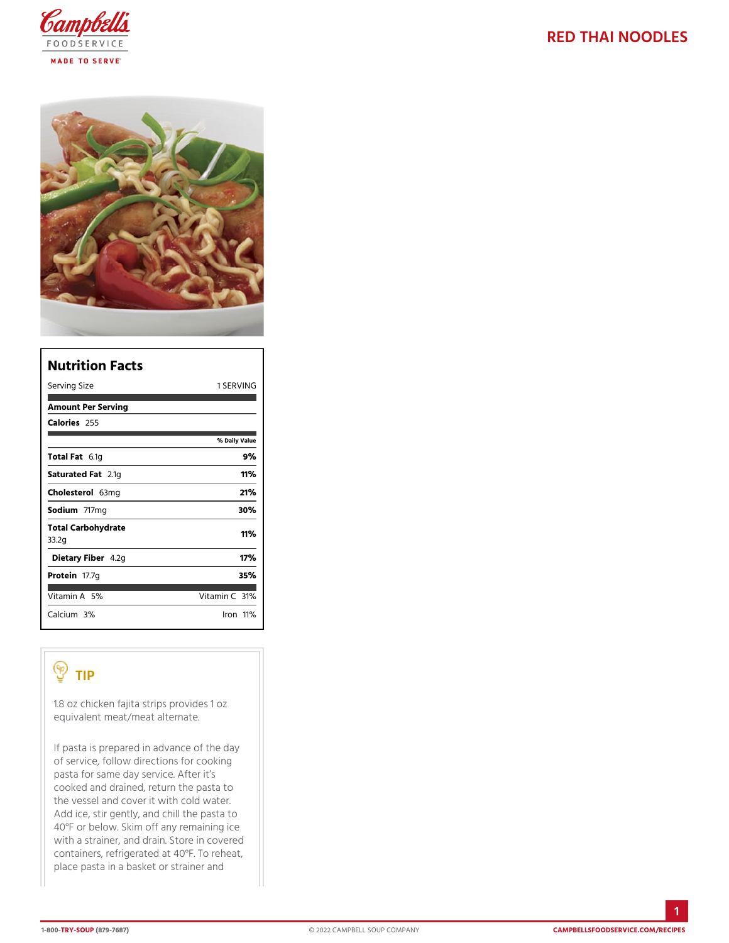| Nutrition Facts             |                    |
|-----------------------------|--------------------|
| Serving Size                | 1 SERVING          |
| Amount Per Serving          |                    |
| Calorie2s55                 |                    |
|                             | % Daily Vallue     |
| Total F&t1g                 | 9%                 |
| Saturated 2F.atg            | 11%                |
| Choleste6o3lmg              | 21%                |
| Sodium717mg                 | 30%                |
| Total Carbohydrate<br>33.2g | 11%                |
| Dietary F4ib2egn            | 17%                |
| Proteifit7.7g               | 35%                |
| Vitamin5A%                  | Vitamin3Ch%        |
| $C$ alcium <sup>30%</sup>   | $l$ ron $11$<br>М. |

## TIP

1.8 oz chicken fajita strips provides 1 oz equivalent meat/meat alternate.

If pasta is prepared in advance of the day of service, follow directions for cooking pasta for same day service. After it s cooked and drained, return the pasta to the vessel and cover it with cold water. Add ice, stir gently, and chill the pasta to 40°F or below. Skim off any remaining ice with a strainer, and drain. Store in covered containers, refrigerated at  $40^{\circ}$ F. To reheat, place pasta in a basket or strainer and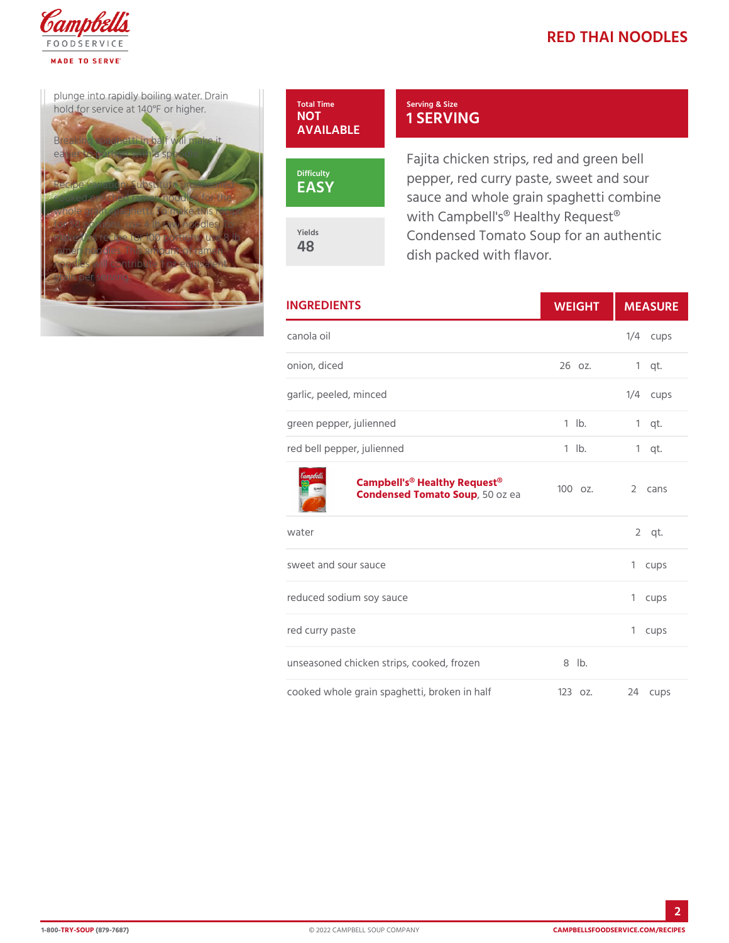plunge into rapidly boiling  $w$ at hold for service at 140°F or hi

Breaking spaghetti in half will easier to portion with a spoodle.

Recipe variation: Substitute u cooked enriched ramen noodle whole grain spaghetti. To make this recipe for  $50$  portions, use  $4$  lb raw n make this recipe for 100 portions ramen noodles. This amount of noodles will contribute 1  $\sigma$   $\mathbb{Z}$  equivalent grain per serving.



Yields 48

EASY

Serving & Size 1 SERVING

Fajita chicken strips, red and g pepper, red curry paste, sweet sauce and whole grain spaghett with Campbell's<sup>®</sup> Healthy Reque Condensed Tomato Soup for an dish packed with flavor.

| <b>INGREDIENTS</b>                                              | WEIGH      | MEASU        |
|-----------------------------------------------------------------|------------|--------------|
| canola oil                                                      |            | $1/4$ cups   |
| onion, diced                                                    |            | 26 oz. 1 qt. |
| garlic, peeled, minced                                          |            | $1/4$ cups   |
| green pepper, julienned                                         |            | 1 lb. 1 qt.  |
| red bell pepper, julienned                                      | $1$ $1b$ . | $1$ qt.      |
| Campbell's® Healthy Request®<br>Condensed Tomat50Sozipea 1000z. |            | 2 cans       |
| water                                                           |            | $2$ qt.      |
| sweet and sour sauce                                            |            | 1 cups       |
| reduced sodium soy sauce                                        |            | 1 cups       |
| red curry paste                                                 |            | 1 cups       |
| aanad ahiakan atrina aaakad Brdhan                              |            |              |

unseasoned chicken strips, cooked, 8 rdben

cooked whole grain spaghetti, broken 23ozhalf 24 cups

2